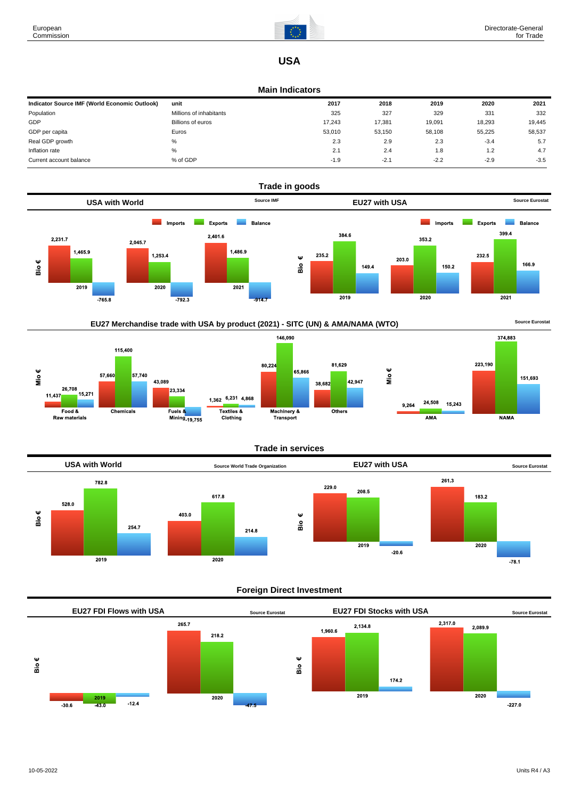

# **USA**

#### **Main Indicators**

| Indicator Source IMF (World Economic Outlook) | unit                    | 2017   | 2018   | 2019   | 2020   | 2021   |
|-----------------------------------------------|-------------------------|--------|--------|--------|--------|--------|
| Population                                    | Millions of inhabitants | 325    | 327    | 329    | 331    | 332    |
| GDP                                           | Billions of euros       | 17.243 | 17,381 | 19,091 | 18,293 | 19,445 |
| GDP per capita                                | Euros                   | 53.010 | 53,150 | 58,108 | 55.225 | 58,537 |
| Real GDP growth                               | %                       | 2.3    | 2.9    | 2.3    | $-3.4$ | 5.7    |
| Inflation rate                                | %                       | 2.1    | 2.4    | 1.8    | 1.2    | 4.7    |
| Current account balance                       | % of GDP                | $-1.9$ | $-2.1$ | $-2.2$ | $-2.9$ | $-3.5$ |





### **Trade in services**



### **Foreign Direct Investment**